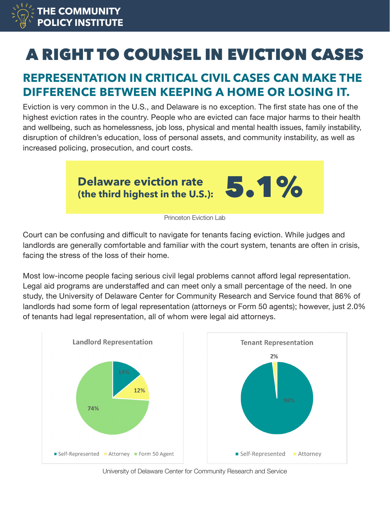

# A RIGHT TO COUNSEL IN EVICTION CASES

## **REPRESENTATION IN CRITICAL CIVIL CASES CAN MAKE THE DIFFERENCE BETWEEN KEEPING A HOME OR LOSING IT.**

Eviction is very common in the U.S., and Delaware is no exception. The first state has one of the highest eviction rates in the country. People who are evicted can face major harms to their health and wellbeing, such as homelessness, job loss, physical and mental health issues, family instability, disruption of children's education, loss of personal assets, and community instability, as well as increased policing, prosecution, and court costs.



Court can be confusing and difficult to navigate for tenants facing eviction. While judges and landlords are generally comfortable and familiar with the court system, tenants are often in crisis, facing the stress of the loss of their home.

Most low-income people facing serious civil legal problems cannot afford legal representation. Legal aid programs are understaffed and can meet only a small percentage of the need. In one study, the University of Delaware Center for Community Research and Service found that 86% of landlords had some form of legal representation (attorneys or Form 50 agents); however, just 2.0% of tenants had legal representation, all of whom were legal aid attorneys.



University of Delaware Center for Community Research and Service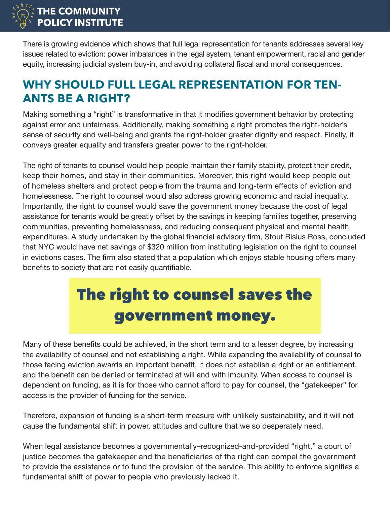

There is growing evidence which shows that full legal representation for tenants addresses several key issues related to eviction: power imbalances in the legal system, tenant empowerment, racial and gender equity, increasing judicial system buy-in, and avoiding collateral fiscal and moral consequences.

#### **WHY SHOULD FULL LEGAL REPRESENTATION FOR TEN-ANTS BE A RIGHT?**

Making something a "right" is transformative in that it modifies government behavior by protecting against error and unfairness. Additionally, making something a right promotes the right-holder's sense of security and well-being and grants the right-holder greater dignity and respect. Finally, it conveys greater equality and transfers greater power to the right-holder.

The right of tenants to counsel would help people maintain their family stability, protect their credit, keep their homes, and stay in their communities. Moreover, this right would keep people out of homeless shelters and protect people from the trauma and long-term effects of eviction and homelessness. The right to counsel would also address growing economic and racial inequality. Importantly, the right to counsel would save the government money because the cost of legal assistance for tenants would be greatly offset by the savings in keeping families together, preserving communities, preventing homelessness, and reducing consequent physical and mental health expenditures. A study undertaken by the global financial advisory firm, Stout Risius Ross, concluded that NYC would have net savings of \$320 million from instituting legislation on the right to counsel in evictions cases. The firm also stated that a population which enjoys stable housing offers many benefits to society that are not easily quantifiable.

## The right to counsel saves the government money.

Many of these benefits could be achieved, in the short term and to a lesser degree, by increasing the availability of counsel and not establishing a right. While expanding the availability of counsel to those facing eviction awards an important benefit, it does not establish a right or an entitlement, and the benefit can be denied or terminated at will and with impunity. When access to counsel is dependent on funding, as it is for those who cannot afford to pay for counsel, the "gatekeeper" for access is the provider of funding for the service.

Therefore, expansion of funding is a short-term measure with unlikely sustainability, and it will not cause the fundamental shift in power, attitudes and culture that we so desperately need.

When legal assistance becomes a governmentally–recognized-and-provided "right," a court of justice becomes the gatekeeper and the beneficiaries of the right can compel the government to provide the assistance or to fund the provision of the service. This ability to enforce signifies a fundamental shift of power to people who previously lacked it.